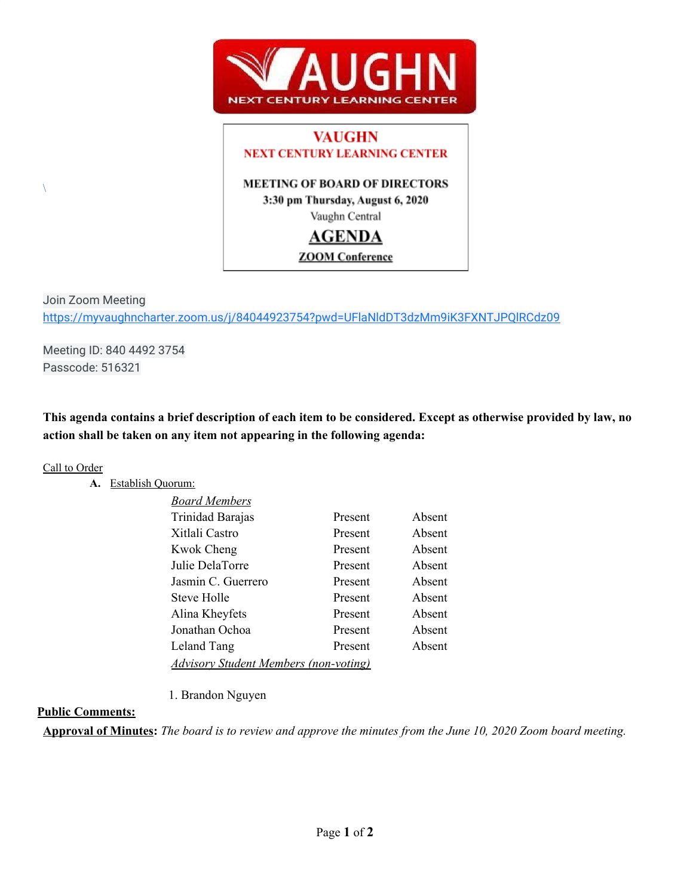

# **VAUGHN NEXT CENTURY LEARNING CENTER**

### **MEETING OF BOARD OF DIRECTORS**

3:30 pm Thursday, August 6, 2020

Vaughn Central

## **AGENDA**

### **ZOOM** Conference

Join Zoom Meeting <https://myvaughncharter.zoom.us/j/84044923754?pwd=UFlaNldDT3dzMm9iK3FXNTJPQlRCdz09>

Meeting ID: 840 4492 3754 Passcode: 516321

This agenda contains a brief description of each item to be considered. Except as otherwise provided by law, no **action shall be taken on any item not appearing in the following agenda:**

#### Call to Order

 $\setminus$ 

#### **A.** Establish Quorum:

| <b>Board Members</b>                         |         |        |
|----------------------------------------------|---------|--------|
| Trinidad Barajas                             | Present | Absent |
| Xitlali Castro                               | Present | Absent |
| <b>Kwok Cheng</b>                            | Present | Absent |
| Julie DelaTorre                              | Present | Absent |
| Jasmin C. Guerrero                           | Present | Absent |
| Steve Holle                                  | Present | Absent |
| Alina Kheyfets                               | Present | Absent |
| Jonathan Ochoa                               | Present | Absent |
| Leland Tang                                  | Present | Absent |
| <b>Advisory Student Members (non-voting)</b> |         |        |

1. Brandon Nguyen

### **Public Comments:**

Approval of Minutes: The board is to review and approve the minutes from the June 10, 2020 Zoom board meeting.